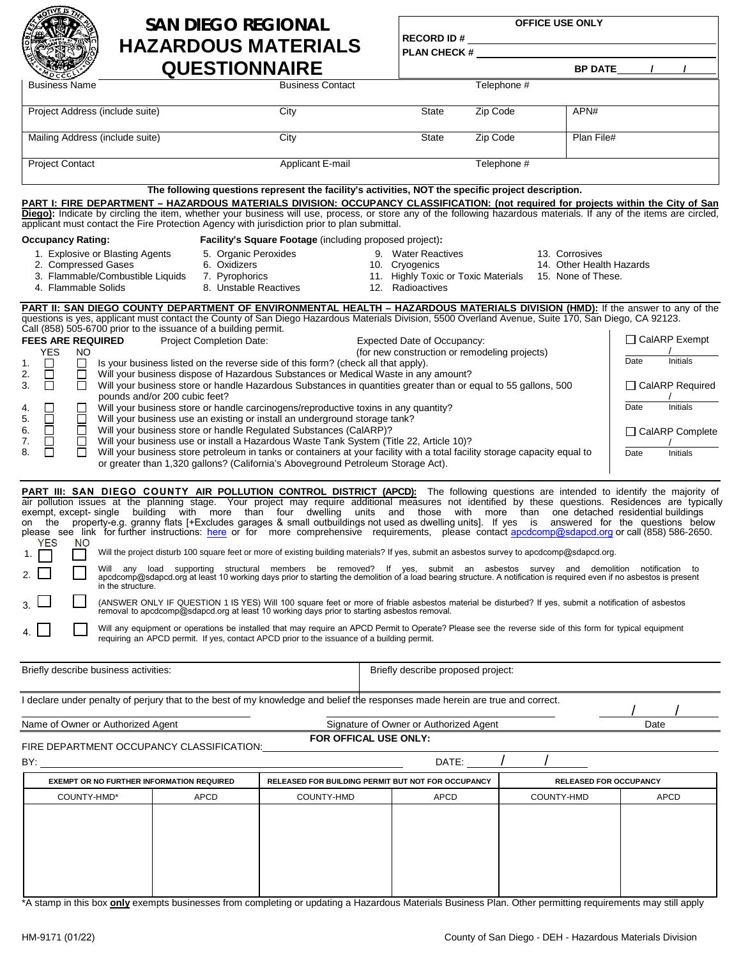|                                                                                                                                                                                                                                 |                                                                                                  | <b>SAN DIEGO REGIONAL</b>                                                                                                                                                                                                                                                                                                                                                                                                                                                                                                                                                                                                                                                                                                                                                                                                                                                                                                                                                                                                                                                                                                                                                                                                                                                                                                                                                                                                                                                                                                                                                                                                                                                                                 |  |                                      | <b>OFFICE USE ONLY</b>                                 |                                            |             |                                                                                        |                                  |  |
|---------------------------------------------------------------------------------------------------------------------------------------------------------------------------------------------------------------------------------|--------------------------------------------------------------------------------------------------|-----------------------------------------------------------------------------------------------------------------------------------------------------------------------------------------------------------------------------------------------------------------------------------------------------------------------------------------------------------------------------------------------------------------------------------------------------------------------------------------------------------------------------------------------------------------------------------------------------------------------------------------------------------------------------------------------------------------------------------------------------------------------------------------------------------------------------------------------------------------------------------------------------------------------------------------------------------------------------------------------------------------------------------------------------------------------------------------------------------------------------------------------------------------------------------------------------------------------------------------------------------------------------------------------------------------------------------------------------------------------------------------------------------------------------------------------------------------------------------------------------------------------------------------------------------------------------------------------------------------------------------------------------------------------------------------------------------|--|--------------------------------------|--------------------------------------------------------|--------------------------------------------|-------------|----------------------------------------------------------------------------------------|----------------------------------|--|
|                                                                                                                                                                                                                                 |                                                                                                  | <b>HAZARDOUS MATERIALS</b>                                                                                                                                                                                                                                                                                                                                                                                                                                                                                                                                                                                                                                                                                                                                                                                                                                                                                                                                                                                                                                                                                                                                                                                                                                                                                                                                                                                                                                                                                                                                                                                                                                                                                |  |                                      | <b>PLAN CHECK #</b> PLAN CHECK <b>#</b>                |                                            |             |                                                                                        |                                  |  |
|                                                                                                                                                                                                                                 |                                                                                                  | <b>QUESTIONNAIRE</b>                                                                                                                                                                                                                                                                                                                                                                                                                                                                                                                                                                                                                                                                                                                                                                                                                                                                                                                                                                                                                                                                                                                                                                                                                                                                                                                                                                                                                                                                                                                                                                                                                                                                                      |  |                                      |                                                        |                                            | BP DATE / / |                                                                                        |                                  |  |
| Business Name                                                                                                                                                                                                                   |                                                                                                  | <b>Business Contact</b>                                                                                                                                                                                                                                                                                                                                                                                                                                                                                                                                                                                                                                                                                                                                                                                                                                                                                                                                                                                                                                                                                                                                                                                                                                                                                                                                                                                                                                                                                                                                                                                                                                                                                   |  |                                      | Telephone #                                            |                                            |             |                                                                                        |                                  |  |
| Project Address (include suite)                                                                                                                                                                                                 |                                                                                                  | City                                                                                                                                                                                                                                                                                                                                                                                                                                                                                                                                                                                                                                                                                                                                                                                                                                                                                                                                                                                                                                                                                                                                                                                                                                                                                                                                                                                                                                                                                                                                                                                                                                                                                                      |  | State                                | Zip Code                                               |                                            | APN#        |                                                                                        |                                  |  |
| Mailing Address (include suite)                                                                                                                                                                                                 |                                                                                                  | City                                                                                                                                                                                                                                                                                                                                                                                                                                                                                                                                                                                                                                                                                                                                                                                                                                                                                                                                                                                                                                                                                                                                                                                                                                                                                                                                                                                                                                                                                                                                                                                                                                                                                                      |  | <b>State</b>                         | Zip Code                                               |                                            | Plan File#  |                                                                                        |                                  |  |
| <b>Project Contact</b>                                                                                                                                                                                                          |                                                                                                  | Applicant E-mail                                                                                                                                                                                                                                                                                                                                                                                                                                                                                                                                                                                                                                                                                                                                                                                                                                                                                                                                                                                                                                                                                                                                                                                                                                                                                                                                                                                                                                                                                                                                                                                                                                                                                          |  |                                      | Telephone #                                            |                                            |             |                                                                                        |                                  |  |
| <b>Occupancy Rating:</b><br>1. Explosive or Blasting Agents<br>2. Compressed Gases                                                                                                                                              |                                                                                                  | Diego): Indicate by circling the item, whether your business will use, process, or store any of the following hazardous materials. If any of the items are circled,<br>applicant must contact the Fire Protection Agency with jurisdiction prior to plan submittal.<br>Facility's Square Footage (including proposed project):<br>5. Organic Peroxides<br>6. Oxidizers                                                                                                                                                                                                                                                                                                                                                                                                                                                                                                                                                                                                                                                                                                                                                                                                                                                                                                                                                                                                                                                                                                                                                                                                                                                                                                                                    |  | 9. Water Reactives<br>10. Cryogenics |                                                        | 13. Corrosives<br>14. Other Health Hazards |             |                                                                                        |                                  |  |
| 4. Flammable Solids                                                                                                                                                                                                             | 3. Flammable/Combustible Liquids                                                                 | 7. Pyrophorics<br>8. Unstable Reactives                                                                                                                                                                                                                                                                                                                                                                                                                                                                                                                                                                                                                                                                                                                                                                                                                                                                                                                                                                                                                                                                                                                                                                                                                                                                                                                                                                                                                                                                                                                                                                                                                                                                   |  | 12. Radioactives                     | 11. Highly Toxic or Toxic Materials 15. None of These. |                                            |             |                                                                                        |                                  |  |
| <b>FEES ARE REQUIRED</b><br><b>YES</b><br>NO.<br>$\Box$<br>$\Box$<br>1.<br>$\Box$<br>2.<br>$\Box$<br>$\Box$<br>3.<br>8<br>0<br>0<br>0<br>$\Box$<br>4.<br>5.<br>$\Box$<br>6.<br>$\Box$<br>ō<br>7.<br>$\Box$<br>ō<br>8.<br>$\Box$ | Call (858) 505-6700 prior to the issuance of a building permit.<br>pounds and/or 200 cubic feet? | PART II: SAN DIEGO COUNTY DEPARTMENT OF ENVIRONMENTAL HEALTH - HAZARDOUS MATERIALS DIVISION (HMD): If the answer to any of the<br>questions is yes, applicant must contact the County of San Diego Hazardous Materials Division, 5500 Overland Avenue, Suite 170, San Diego, CA 92123.<br>Project Completion Date:<br>Is your business listed on the reverse side of this form? (check all that apply).<br>Will your business dispose of Hazardous Substances or Medical Waste in any amount?<br>Will your business store or handle Hazardous Substances in quantities greater than or equal to 55 gallons, 500<br>Will your business store or handle carcinogens/reproductive toxins in any quantity?<br>Will your business use an existing or install an underground storage tank?<br>Will your business store or handle Regulated Substances (CalARP)?<br>Will your business use or install a Hazardous Waste Tank System (Title 22, Article 10)?<br>Will your business store petroleum in tanks or containers at your facility with a total facility storage capacity equal to<br>or greater than 1,320 gallons? (California's Aboveground Petroleum Storage Act).                                                                                                                                                                                                                                                                                                                                                                                                                                                                                                                                    |  | <b>Expected Date of Occupancy:</b>   | (for new construction or remodeling projects)          |                                            |             | $\Box$ CalARP Exempt<br>Date<br>□ CalARP Required<br>Date<br>□ CalARP Complete<br>Date | Initials<br>Initials<br>Initials |  |
| <b>YES</b><br><b>NO</b><br>2.1<br>3.1<br>4.                                                                                                                                                                                     | in the structure.                                                                                | PART III: SAN DIEGO COUNTY AIR POLLUTION CONTROL DISTRICT (APCD): The following questions are intended to identify the majority of<br>air pollution issues at the planning stage. Your project may require additional measures not identified by these questions. Residences are typically<br>exempt, except- single building with more than four dwelling units and those with more than one detached residential buildings<br>on the property-e.g. granny flats [+Excludes garages & small outbuildings not used as dwelling units]. If yes is answered for the questions below<br>please see link for further instructions: here or for more comprehensive requirements, please contact apcdcomp@sdapcd.org or call (858) 586-2650.<br>Will the project disturb 100 square feet or more of existing building materials? If yes, submit an asbestos survey to apcdcomp@sdapcd.org.<br>Will any load supporting structural members be removed? If yes, submit an asbestos survey and demolition notification to<br>apcdcomp@sdapcd.org at least 10 working days prior to starting the demolition of a load bearing structure. A notification is required even if no asbestos is present<br>(ANSWER ONLY IF QUESTION 1 IS YES) Will 100 square feet or more of friable asbestos material be disturbed? If yes, submit a notification of asbestos<br>removal to apcdcomp@sdapcd.org at least 10 working days prior to starting asbestos removal.<br>Will any equipment or operations be installed that may require an APCD Permit to Operate? Please see the reverse side of this form for typical equipment<br>requiring an APCD permit. If yes, contact APCD prior to the issuance of a building permit. |  |                                      |                                                        |                                            |             |                                                                                        |                                  |  |

Briefly describe business activities: **Briefly describe proposed project:** Briefly describe proposed project:

I declare under penalty of perjury that to the best of my knowledge and belief the responses made herein are true and correct.

Name of Owner or Authorized Agent **Date** Signature of Owner or Authorized Agent Date

**FOR OFFICAL USE ONLY:**

#### FIRE DEPARTMENT OCCUPANCY CLASSIFICATION:

BY: DATE: / / **EXEMPT OR NO FURTHER INFORMATION REQUIRED RELEASED FOR BUILDING PERMIT BUT NOT FOR OCCUPANCY RELEASED FOR OCCUPANCY** COUNTY-HMD\* APCD COUNTY-HMD APCD COUNTY-HMD APCD

\*A stamp in this box **only** exempts businesses from completing or updating a Hazardous Materials Business Plan. Other permitting requirements may still apply

/ /